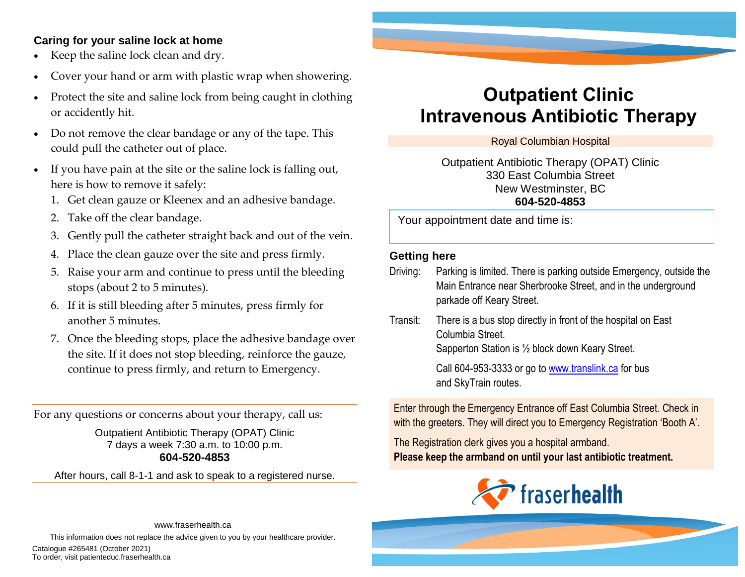# **Caring for your saline lock at home**

- Keep the saline lock clean and dry.
- Cover your hand or arm with plastic wrap when showering.
- Protect the site and saline lock from being caught in clothing or accidently hit.
- Do not remove the clear bandage or any of the tape. This could pull the catheter out of place.
- If you have pain at the site or the saline lock is falling out, here is how to remove it safely:
	- 1. Get clean gauze or Kleenex and an adhesive bandage.
	- 2. Take off the clear bandage.
	- 3. Gently pull the catheter straight back and out of the vein.
	- 4. Place the clean gauze over the site and press firmly.
	- 5. Raise your arm and continue to press until the bleeding stops (about 2 to 5 minutes).
	- 6. If it is still bleeding after 5 minutes, press firmly for another 5 minutes.
	- 7. Once the bleeding stops, place the adhesive bandage over the site. If it does not stop bleeding, reinforce the gauze, continue to press firmly, and return to Emergency.

For any questions or concerns about your therapy, call us:

Outpatient Antibiotic Therapy (OPAT) Clinic 7 days a week 7:30 a.m. to 10:00 p.m. **604-520-4853**

After hours, call 8-1-1 and ask to speak to a registered nurse.

# **Outpatient Clinic Intravenous Antibiotic Therapy**

Royal Columbian Hospital

Outpatient Antibiotic Therapy (OPAT) Clinic 330 East Columbia Street New Westminster, BC **604-520-4853**

Your appointment date and time is:

# **Getting here**

Driving: Parking is limited. There is parking outside Emergency, outside the Main Entrance near Sherbrooke Street, and in the underground parkade off Keary Street. Transit: There is a bus stop directly in front of the hospital on East Columbia Street. Sapperton Station is ½ block down Keary Street. Call 604-953-3333 or go to [www.translink.ca](http://www.translink.ca/) for bus

and SkyTrain routes.

Enter through the Emergency Entrance off East Columbia Street. Check in with the greeters. They will direct you to Emergency Registration 'Booth A'.

The Registration clerk gives you a hospital armband. **Please keep the armband on until your last antibiotic treatment.**



www.fraserhealth.ca

This information does not replace the advice given to you by your healthcare provider. Catalogue #265481 (October 2021) To order, visit patienteduc.fraserhealth.ca